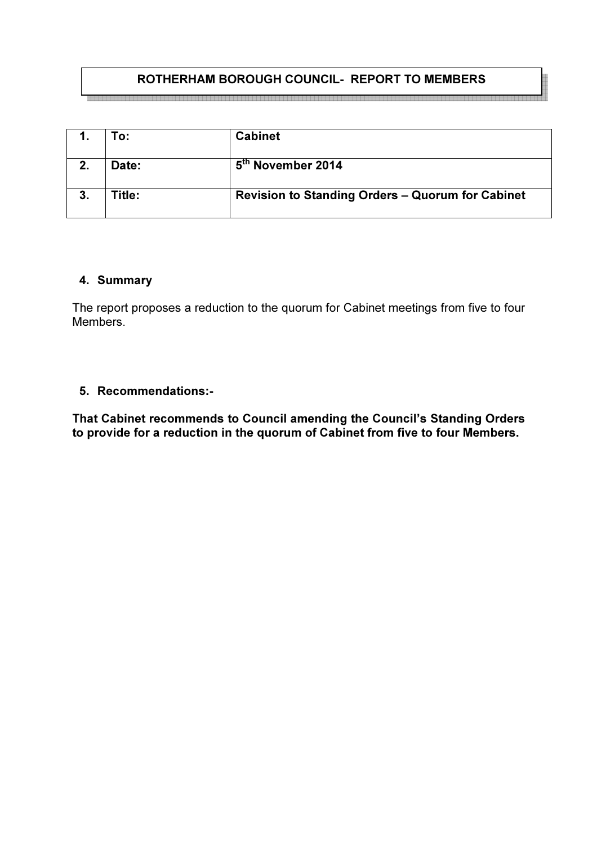# ROTHERHAM BOROUGH COUNCIL- REPORT TO MEMBERS

|             | To:    | <b>Cabinet</b>                                          |
|-------------|--------|---------------------------------------------------------|
| $2_{\cdot}$ | Date:  | 5th November 2014                                       |
|             | Title: | <b>Revision to Standing Orders - Quorum for Cabinet</b> |

### 4. Summary

The report proposes a reduction to the quorum for Cabinet meetings from five to four Members.

## 5. Recommendations:-

That Cabinet recommends to Council amending the Council's Standing Orders to provide for a reduction in the quorum of Cabinet from five to four Members.